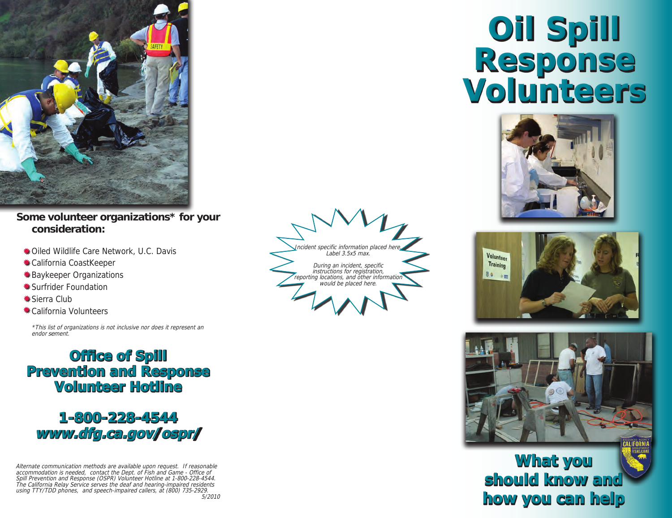

#### **Some volunteer organizations\* for your consideration:**

- $*$  **Oiled Wildlife Care Network, U.C. Davis**
- California CoastKeeper
- Baykeeper Organizations
- Surfrider Foundation
- $*$ **Sierra Club**
- **\*\*** California Volunteers

\*This list of organizations is not inclusive nor does it represent an endor sement.

### **Office of Spill Prevention and Response Volunteer Hotline**



Alternate communication methods are available upon request. If reasonable accommodation is needed, contact the Dept. of Fish and Game - Office of Spill Prevention and Response (OSPR) Volunteer Hotline at 1-800-228-4544. The California Relay Service serves the deaf and hearing-impaired residents using TTY/TDD phones, and speech-impaired callers, at (800) 735-2929. 5/2010



# **Oil Spill Response Volunteers**







## **What you should know and how you can help**